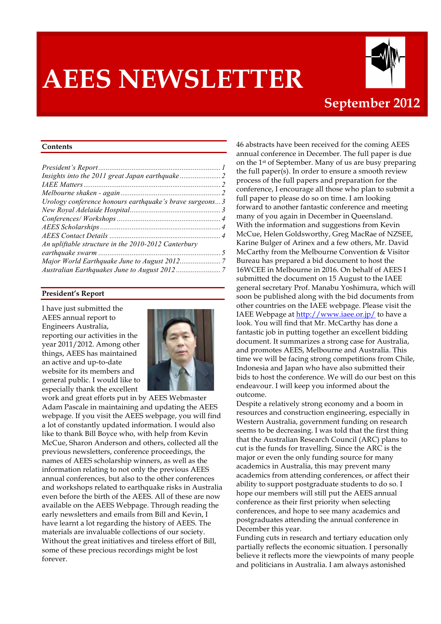# **AEES NEWSLETTER**



### **September 2012**

#### **Contents**

| Urology conference honours earthquake's brave surgeons 3 |  |
|----------------------------------------------------------|--|
|                                                          |  |
|                                                          |  |
|                                                          |  |
|                                                          |  |
| An upliftable structure in the 2010-2012 Canterbury      |  |
|                                                          |  |
|                                                          |  |
|                                                          |  |
|                                                          |  |

#### **President's Report**

I have just submitted the AEES annual report to Engineers Australia, reporting our activities in the year 2011/2012. Among other things, AEES has maintained an active and up-to-date website for its members and general public. I would like to especially thank the excellent



work and great efforts put in by AEES Webmaster Adam Pascale in maintaining and updating the AEES webpage. If you visit the AEES webpage, you will find a lot of constantly updated information. I would also like to thank Bill Boyce who, with help from Kevin McCue, Sharon Anderson and others, collected all the previous newsletters, conference proceedings, the names of AEES scholarship winners, as well as the information relating to not only the previous AEES annual conferences, but also to the other conferences and workshops related to earthquake risks in Australia even before the birth of the AEES. All of these are now available on the AEES Webpage. Through reading the early newsletters and emails from Bill and Kevin, I have learnt a lot regarding the history of AEES. The materials are invaluable collections of our society. Without the great initiatives and tireless effort of Bill, some of these precious recordings might be lost forever.

46 abstracts have been received for the coming AEES annual conference in December. The full paper is due on the 1st of September. Many of us are busy preparing the full paper(s). In order to ensure a smooth review process of the full papers and preparation for the conference, I encourage all those who plan to submit a full paper to please do so on time. I am looking forward to another fantastic conference and meeting many of you again in December in Queensland. With the information and suggestions from Kevin McCue, Helen Goldsworthy, Greg MacRae of NZSEE, Karine Bulger of Arinex and a few others, Mr. David McCarthy from the Melbourne Convention & Visitor Bureau has prepared a bid document to host the 16WCEE in Melbourne in 2016. On behalf of AEES I submitted the document on 15 August to the IAEE general secretary Prof. Manabu Yoshimura, which will soon be published along with the bid documents from other countries on the IAEE webpage. Please visit the IAEE Webpage at http://www.iaee.or.jp/ to have a look. You will find that Mr. McCarthy has done a fantastic job in putting together an excellent bidding document. It summarizes a strong case for Australia, and promotes AEES, Melbourne and Australia. This time we will be facing strong competitions from Chile, Indonesia and Japan who have also submitted their bids to host the conference. We will do our best on this endeavour. I will keep you informed about the outcome.

Despite a relatively strong economy and a boom in resources and construction engineering, especially in Western Australia, government funding on research seems to be decreasing. I was told that the first thing that the Australian Research Council (ARC) plans to cut is the funds for travelling. Since the ARC is the major or even the only funding source for many academics in Australia, this may prevent many academics from attending conferences, or affect their ability to support postgraduate students to do so. I hope our members will still put the AEES annual conference as their first priority when selecting conferences, and hope to see many academics and postgraduates attending the annual conference in December this year.

Funding cuts in research and tertiary education only partially reflects the economic situation. I personally believe it reflects more the viewpoints of many people and politicians in Australia. I am always astonished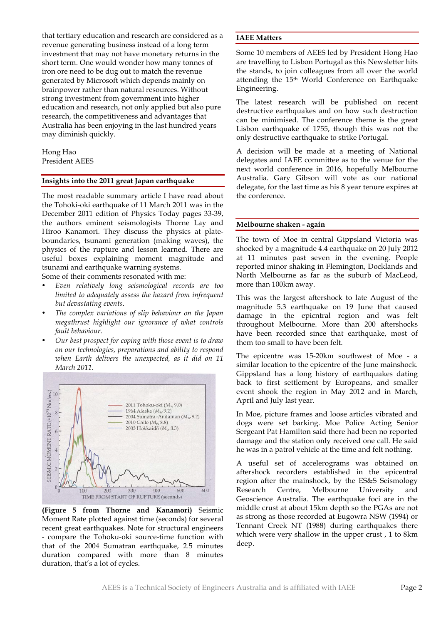that tertiary education and research are considered as a revenue generating business instead of a long term investment that may not have monetary returns in the short term. One would wonder how many tonnes of iron ore need to be dug out to match the revenue generated by Microsoft which depends mainly on brainpower rather than natural resources. Without strong investment from government into higher education and research, not only applied but also pure research, the competitiveness and advantages that Australia has been enjoying in the last hundred years may diminish quickly.

Hong Hao President AEES

#### **Insights into the 2011 great Japan earthquake**

The most readable summary article I have read about the Tohoki-oki earthquake of 11 March 2011 was in the December 2011 edition of Physics Today pages 33-39, the authors eminent seismologists Thorne Lay and Hiroo Kanamori. They discuss the physics at plateboundaries, tsunami generation (making waves), the physics of the rupture and lesson learned. There are useful boxes explaining moment magnitude and tsunami and earthquake warning systems.

Some of their comments resonated with me:

- *Even relatively long seismological records are too limited to adequately assess the hazard from infrequent but devastating events*.
- *The complex variations of slip behaviour on the Japan megathrust highlight our ignorance of what controls fault behaviour.*
- *Our best prospect for coping with those event is to draw on our technologies, preparations and ability to respond when Earth delivers the unexpected, as it did on 11 March 2011.*



**(Figure 5 from Thorne and Kanamori)** Seismic Moment Rate plotted against time (seconds) for several recent great earthquakes. Note for structural engineers - compare the Tohoku-oki source-time function with that of the 2004 Sumatran earthquake, 2.5 minutes duration compared with more than 8 minutes duration, that's a lot of cycles.

#### **IAEE Matters**

Some 10 members of AEES led by President Hong Hao are travelling to Lisbon Portugal as this Newsletter hits the stands, to join colleagues from all over the world attending the 15th World Conference on Earthquake Engineering.

The latest research will be published on recent destructive earthquakes and on how such destruction can be minimised. The conference theme is the great Lisbon earthquake of 1755, though this was not the only destructive earthquake to strike Portugal.

A decision will be made at a meeting of National delegates and IAEE committee as to the venue for the next world conference in 2016, hopefully Melbourne Australia. Gary Gibson will vote as our national delegate, for the last time as his 8 year tenure expires at the conference.

#### **Melbourne shaken - again**

The town of Moe in central Gippsland Victoria was shocked by a magnitude 4.4 earthquake on 20 July 2012 at 11 minutes past seven in the evening. People reported minor shaking in Flemington, Docklands and North Melbourne as far as the suburb of MacLeod, more than 100km away.

This was the largest aftershock to late August of the magnitude 5.3 earthquake on 19 June that caused damage in the epicntral region and was felt throughout Melbourne. More than 200 aftershocks have been recorded since that earthquake, most of them too small to have been felt.

The epicentre was 15-20km southwest of Moe - a similar location to the epicentre of the June mainshock. Gippsland has a long history of earthquakes dating back to first settlement by Europeans, and smaller event shook the region in May 2012 and in March, April and July last year.

In Moe, picture frames and loose articles vibrated and dogs were set barking. Moe Police Acting Senior Sergeant Pat Hamilton said there had been no reported damage and the station only received one call. He said he was in a patrol vehicle at the time and felt nothing.

A useful set of accelerograms was obtained on aftershock recorders established in the epicentral region after the mainshock, by the ES&S Seismology Research Centre, Melbourne University and Geoscience Australia. The earthquake foci are in the middle crust at about 15km depth so the PGAs are not as strong as those recorded at Eugowra NSW (1994) or Tennant Creek NT (1988) during earthquakes there which were very shallow in the upper crust , 1 to 8km deep.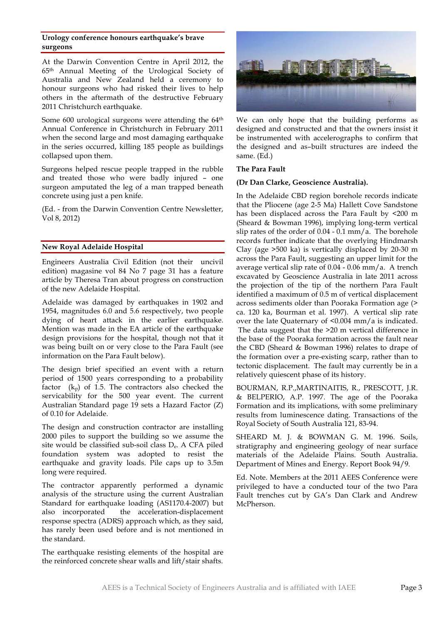#### **Urology conference honours earthquake's brave surgeons**

At the Darwin Convention Centre in April 2012, the 65th Annual Meeting of the Urological Society of Australia and New Zealand held a ceremony to honour surgeons who had risked their lives to help others in the aftermath of the destructive February 2011 Christchurch earthquake.

Some 600 urological surgeons were attending the 64<sup>th</sup> Annual Conference in Christchurch in February 2011 when the second large and most damaging earthquake in the series occurred, killing 185 people as buildings collapsed upon them.

Surgeons helped rescue people trapped in the rubble and treated those who were badly injured – one surgeon amputated the leg of a man trapped beneath concrete using just a pen knife.

(Ed. - from the Darwin Convention Centre Newsletter, Vol 8, 2012)

#### **New Royal Adelaide Hospital**

Engineers Australia Civil Edition (not their uncivil edition) magasine vol 84 No 7 page 31 has a feature article by Theresa Tran about progress on construction of the new Adelaide Hospital.

Adelaide was damaged by earthquakes in 1902 and 1954, magnitudes 6.0 and 5.6 respectively, two people dying of heart attack in the earlier earthquake. Mention was made in the EA article of the earthquake design provisions for the hospital, though not that it was being built on or very close to the Para Fault (see information on the Para Fault below).

The design brief specified an event with a return period of 1500 years corresponding to a probability factor  $(k_p)$  of 1.5. The contractors also checked the servicability for the 500 year event. The current Australian Standard page 19 sets a Hazard Factor (Z) of 0.10 for Adelaide.

The design and construction contractor are installing 2000 piles to support the building so we assume the site would be classified sub-soil class De. A CFA piled foundation system was adopted to resist the earthquake and gravity loads. Pile caps up to 3.5m long were required.

The contractor apparently performed a dynamic analysis of the structure using the current Australian Standard for earthquake loading (AS1170.4-2007) but also incorporated the acceleration-displacement response spectra (ADRS) approach which, as they said, has rarely been used before and is not mentioned in the standard.

The earthquake resisting elements of the hospital are the reinforced concrete shear walls and lift/stair shafts.



We can only hope that the building performs as designed and constructed and that the owners insist it be instrumented with accelerographs to confirm that the designed and as–built structures are indeed the same. (Ed.)

#### **The Para Fault**

#### **(Dr Dan Clarke, Geoscience Australia).**

In the Adelaide CBD region borehole records indicate that the Pliocene (age 2-5 Ma) Hallett Cove Sandstone has been displaced across the Para Fault by <200 m (Sheard & Bowman 1996), implying long-term vertical slip rates of the order of 0.04 - 0.1 mm/a. The borehole records further indicate that the overlying Hindmarsh Clay (age >500 ka) is vertically displaced by 20-30 m across the Para Fault, suggesting an upper limit for the average vertical slip rate of 0.04 - 0.06 mm/a. A trench excavated by Geoscience Australia in late 2011 across the projection of the tip of the northern Para Fault identified a maximum of 0.5 m of vertical displacement across sediments older than Pooraka Formation age (> ca. 120 ka, Bourman et al. 1997). A vertical slip rate over the late Quaternary of <0.004 mm/a is indicated. The data suggest that the >20 m vertical difference in the base of the Pooraka formation across the fault near the CBD (Sheard & Bowman 1996) relates to drape of the formation over a pre-existing scarp, rather than to tectonic displacement. The fault may currently be in a relatively quiescent phase of its history.

BOURMAN, R.P.,MARTINAITIS, R., PRESCOTT, J.R. & BELPERIO, A.P. 1997. The age of the Pooraka Formation and its implications, with some preliminary results from luminescence dating. Transactions of the Royal Society of South Australia 121, 83-94.

SHEARD M. J. & BOWMAN G. M. 1996. Soils, stratigraphy and engineering geology of near surface materials of the Adelaide Plains. South Australia. Department of Mines and Energy. Report Book 94/9.

Ed. Note. Members at the 2011 AEES Conference were privileged to have a conducted tour of the two Para Fault trenches cut by GA's Dan Clark and Andrew McPherson.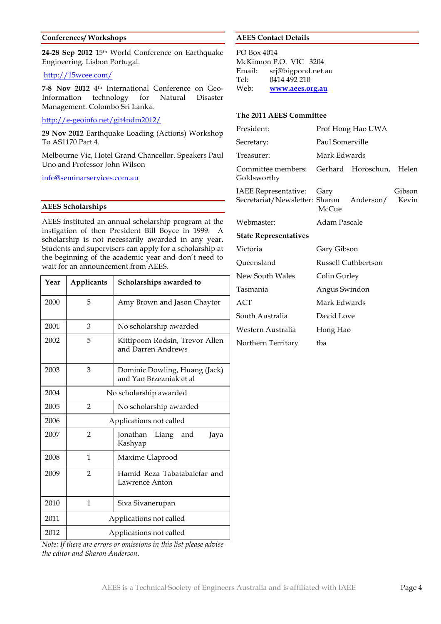#### **Conferences/ Workshops**

**24-28 Sep 2012** 15th World Conference on Earthquake Engineering. Lisbon Portugal.

#### http://15wcee.com/

**7-8 Nov 2012** 4th International Conference on Geo-Information technology for Natural Disaster Management. Colombo Sri Lanka.

#### http://e-geoinfo.net/git4ndm2012/

**29 Nov 2012** Earthquake Loading (Actions) Workshop To AS1170 Part 4.

Melbourne Vic, Hotel Grand Chancellor. Speakers Paul Uno and Professor John Wilson

info@seminarservices.com.au

#### **AEES Scholarships**

AEES instituted an annual scholarship program at the instigation of then President Bill Boyce in 1999. A scholarship is not necessarily awarded in any year. Students and supervisers can apply for a scholarship at the beginning of the academic year and don't need to wait for an announcement from AEES.

| Year | Applicants              | Scholarships awarded to                                  |  |  |  |  |
|------|-------------------------|----------------------------------------------------------|--|--|--|--|
| 2000 | 5                       | Amy Brown and Jason Chaytor                              |  |  |  |  |
| 2001 | 3                       | No scholarship awarded                                   |  |  |  |  |
| 2002 | 5                       | Kittipoom Rodsin, Trevor Allen<br>and Darren Andrews     |  |  |  |  |
| 2003 | 3                       | Dominic Dowling, Huang (Jack)<br>and Yao Brzezniak et al |  |  |  |  |
| 2004 | No scholarship awarded  |                                                          |  |  |  |  |
| 2005 | $\mathfrak{D}$          | No scholarship awarded                                   |  |  |  |  |
| 2006 | Applications not called |                                                          |  |  |  |  |
| 2007 | 2                       | Jonathan<br>Liang<br>and<br>Jaya<br>Kashyap              |  |  |  |  |
| 2008 | 1                       | Maxime Claprood                                          |  |  |  |  |
| 2009 | $\overline{2}$          | Hamid Reza Tabatabaiefar and<br>Lawrence Anton           |  |  |  |  |
| 2010 | 1                       | Siva Sivanerupan                                         |  |  |  |  |
| 2011 | Applications not called |                                                          |  |  |  |  |
| 2012 | Applications not called |                                                          |  |  |  |  |

#### **AEES Contact Details**

PO Box 4014 McKinnon P.O. VIC 3204 Email: srj@bigpond.net.au Tel: 0414 492 210 Web: **www.aees.org.au**

#### **The 2011 AEES Committee**

| President:                                                  | Prof Hong Hao UWA |                     |                 |  |
|-------------------------------------------------------------|-------------------|---------------------|-----------------|--|
| Secretary:                                                  | Paul Somerville   |                     |                 |  |
| Treasurer:                                                  | Mark Edwards      |                     |                 |  |
| Committee members:<br>Goldsworthy                           |                   | Gerhard Horoschun,  | Helen           |  |
| IAEE Representative: Gary<br>Secretariat/Newsletter: Sharon | $McC$ 11e         | Anderson/           | Gibson<br>Kevin |  |
| Webmaster:                                                  | Adam Pascale      |                     |                 |  |
| <b>State Representatives</b>                                |                   |                     |                 |  |
| Victoria                                                    | Gary Gibson       |                     |                 |  |
| Queensland                                                  |                   | Russell Cuthbertson |                 |  |
| New South Wales                                             | Colin Gurley      |                     |                 |  |
| Tasmania                                                    | Angus Swindon     |                     |                 |  |
| ACT                                                         | Mark Edwards      |                     |                 |  |
| South Australia                                             | David Love        |                     |                 |  |
| Western Australia                                           | Hong Hao          |                     |                 |  |
| Northern Territory                                          | tba               |                     |                 |  |

*Note: If there are errors or omissions in this list please advise the editor and Sharon Anderson.*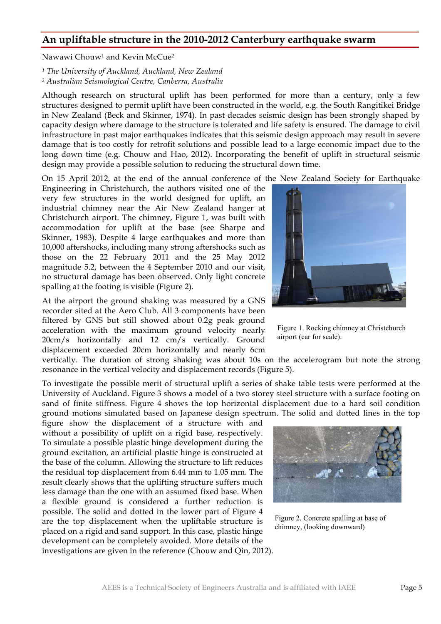#### **An upliftable structure in the 2010-2012 Canterbury earthquake swarm**

Nawawi Chouw1 and Kevin McCue2

*<sup>1</sup> The University of Auckland, Auckland, New Zealand <sup>2</sup> Australian Seismological Centre, Canberra, Australia*

Although research on structural uplift has been performed for more than a century, only a few structures designed to permit uplift have been constructed in the world, e.g. the South Rangitikei Bridge in New Zealand (Beck and Skinner, 1974). In past decades seismic design has been strongly shaped by capacity design where damage to the structure is tolerated and life safety is ensured. The damage to civil infrastructure in past major earthquakes indicates that this seismic design approach may result in severe damage that is too costly for retrofit solutions and possible lead to a large economic impact due to the long down time (e.g. Chouw and Hao, 2012). Incorporating the benefit of uplift in structural seismic design may provide a possible solution to reducing the structural down time.

On 15 April 2012, at the end of the annual conference of the New Zealand Society for Earthquake

Engineering in Christchurch, the authors visited one of the very few structures in the world designed for uplift, an industrial chimney near the Air New Zealand hanger at Christchurch airport. The chimney, Figure 1, was built with accommodation for uplift at the base (see Sharpe and Skinner, 1983). Despite 4 large earthquakes and more than 10,000 aftershocks, including many strong aftershocks such as those on the 22 February 2011 and the 25 May 2012 magnitude 5.2, between the 4 September 2010 and our visit, no structural damage has been observed. Only light concrete spalling at the footing is visible (Figure 2).

At the airport the ground shaking was measured by a GNS recorder sited at the Aero Club. All 3 components have been filtered by GNS but still showed about 0.2g peak ground acceleration with the maximum ground velocity nearly 20cm/s horizontally and 12 cm/s vertically. Ground displacement exceeded 20cm horizontally and nearly 6cm

vertically. The duration of strong shaking was about 10s on the accelerogram but note the strong resonance in the vertical velocity and displacement records (Figure 5).

To investigate the possible merit of structural uplift a series of shake table tests were performed at the University of Auckland. Figure 3 shows a model of a two storey steel structure with a surface footing on sand of finite stiffness. Figure 4 shows the top horizontal displacement due to a hard soil condition ground motions simulated based on Japanese design spectrum. The solid and dotted lines in the top

figure show the displacement of a structure with and without a possibility of uplift on a rigid base, respectively. To simulate a possible plastic hinge development during the ground excitation, an artificial plastic hinge is constructed at the base of the column. Allowing the structure to lift reduces the residual top displacement from 6.44 mm to 1.05 mm. The result clearly shows that the uplifting structure suffers much less damage than the one with an assumed fixed base. When a flexible ground is considered a further reduction is possible. The solid and dotted in the lower part of Figure 4 are the top displacement when the upliftable structure is placed on a rigid and sand support. In this case, plastic hinge development can be completely avoided. More details of the investigations are given in the reference (Chouw and Qin, 2012).



Figure 1. Rocking chimney at Christchurch airport (car for scale).



Figure 2. Concrete spalling at base of chimney, (looking downward)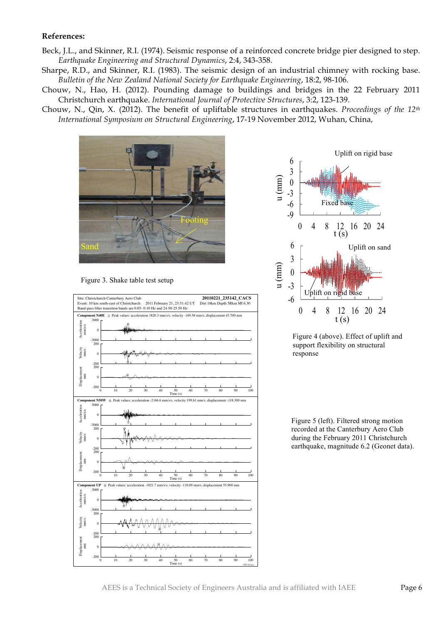#### **References:**

- Beck, J.L., and Skinner, R.I. (1974). Seismic response of a reinforced concrete bridge pier designed to step. *Earthquake Engineering and Structural Dynamics*, 2:4, 343-358.
- Sharpe, R.D., and Skinner, R.I. (1983). The seismic design of an industrial chimney with rocking base. *Bulletin of the New Zealand National Society for Earthquake Engineering*, 18:2, 98-106.
- Chouw, N., Hao, H. (2012). Pounding damage to buildings and bridges in the 22 February 2011 Christchurch earthquake. *International Journal of Protective Structures*, 3:2, 123-139.
- Chouw, N., Qin, X. (2012). The benefit of upliftable structures in earthquakes. *Proceedings of the 12th International Symposium on Structural Engineering*, 17-19 November 2012, Wuhan, China,



Figure 3. Shake table test setup





Figure 4 (above). Effect of uplift and support flexibility on structural response

Figure 5 (left). Filtered strong motion recorded at the Canterbury Aero Club during the February 2011 Christchurch earthquake, magnitude 6.2 (Geonet data).